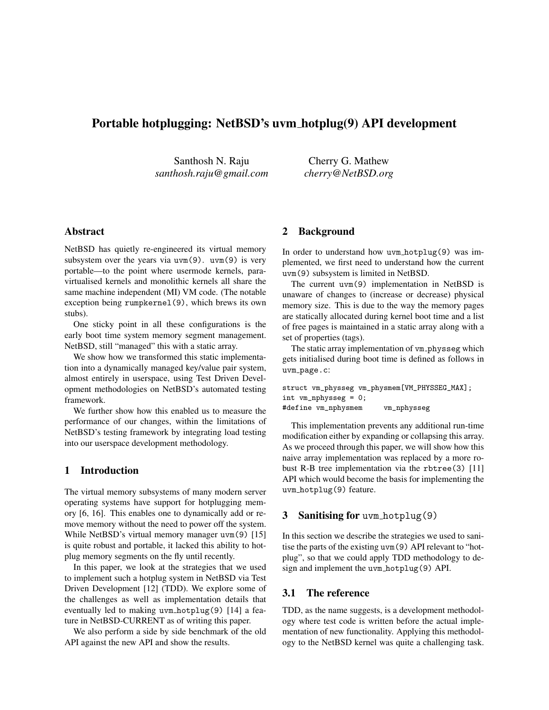# Portable hotplugging: NetBSD's uvm hotplug(9) API development

Santhosh N. Raju *santhosh.raju@gmail.com*

Cherry G. Mathew *cherry@NetBSD.org*

# Abstract

NetBSD has quietly re-engineered its virtual memory subsystem over the years via  $uvm(9)$ .  $uvm(9)$  is very portable—to the point where usermode kernels, paravirtualised kernels and monolithic kernels all share the same machine independent (MI) VM code. (The notable exception being rumpkernel(9), which brews its own stubs).

One sticky point in all these configurations is the early boot time system memory segment management. NetBSD, still "managed" this with a static array.

We show how we transformed this static implementation into a dynamically managed key/value pair system, almost entirely in userspace, using Test Driven Development methodologies on NetBSD's automated testing framework.

We further show how this enabled us to measure the performance of our changes, within the limitations of NetBSD's testing framework by integrating load testing into our userspace development methodology.

# 1 Introduction

The virtual memory subsystems of many modern server operating systems have support for hotplugging memory [6, 16]. This enables one to dynamically add or remove memory without the need to power off the system. While NetBSD's virtual memory manager uvm(9) [15] is quite robust and portable, it lacked this ability to hotplug memory segments on the fly until recently.

In this paper, we look at the strategies that we used to implement such a hotplug system in NetBSD via Test Driven Development [12] (TDD). We explore some of the challenges as well as implementation details that eventually led to making uvm hotplug(9) [14] a feature in NetBSD-CURRENT as of writing this paper.

We also perform a side by side benchmark of the old API against the new API and show the results.

# 2 Background

In order to understand how uvm hotplug(9) was implemented, we first need to understand how the current uvm(9) subsystem is limited in NetBSD.

The current uvm(9) implementation in NetBSD is unaware of changes to (increase or decrease) physical memory size. This is due to the way the memory pages are statically allocated during kernel boot time and a list of free pages is maintained in a static array along with a set of properties (tags).

The static array implementation of vm physseg which gets initialised during boot time is defined as follows in uvm page.c:

```
struct vm_physseg vm_physmem[VM_PHYSSEG_MAX];
int vm_nphysseg = 0;
#define vm_nphysmem vm_nphysseg
```
This implementation prevents any additional run-time modification either by expanding or collapsing this array. As we proceed through this paper, we will show how this naive array implementation was replaced by a more robust R-B tree implementation via the rbtree(3) [11] API which would become the basis for implementing the uvm hotplug(9) feature.

# 3 Sanitising for uvm hotplug(9)

In this section we describe the strategies we used to sanitise the parts of the existing uvm(9) API relevant to "hotplug", so that we could apply TDD methodology to design and implement the uvm hotplug(9) API.

# 3.1 The reference

TDD, as the name suggests, is a development methodology where test code is written before the actual implementation of new functionality. Applying this methodology to the NetBSD kernel was quite a challenging task.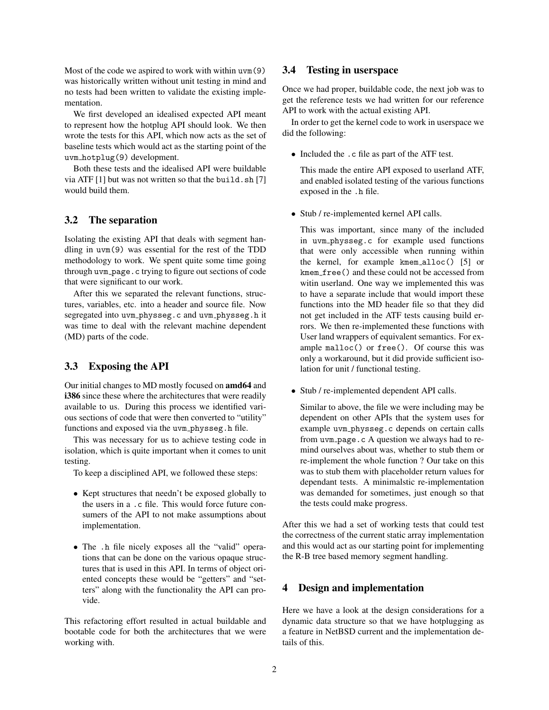Most of the code we aspired to work with within uvm(9) was historically written without unit testing in mind and no tests had been written to validate the existing implementation.

We first developed an idealised expected API meant to represent how the hotplug API should look. We then wrote the tests for this API, which now acts as the set of baseline tests which would act as the starting point of the uvm hotplug(9) development.

Both these tests and the idealised API were buildable via ATF [1] but was not written so that the build.sh [7] would build them.

### 3.2 The separation

Isolating the existing API that deals with segment handling in uvm(9) was essential for the rest of the TDD methodology to work. We spent quite some time going through uvm page.c trying to figure out sections of code that were significant to our work.

After this we separated the relevant functions, structures, variables, etc. into a header and source file. Now segregated into uvm physseg.c and uvm physseg.h it was time to deal with the relevant machine dependent (MD) parts of the code.

### 3.3 Exposing the API

Our initial changes to MD mostly focused on amd64 and i386 since these where the architectures that were readily available to us. During this process we identified various sections of code that were then converted to "utility" functions and exposed via the uvm physseg.h file.

This was necessary for us to achieve testing code in isolation, which is quite important when it comes to unit testing.

To keep a disciplined API, we followed these steps:

- Kept structures that needn't be exposed globally to the users in a .c file. This would force future consumers of the API to not make assumptions about implementation.
- The .h file nicely exposes all the "valid" operations that can be done on the various opaque structures that is used in this API. In terms of object oriented concepts these would be "getters" and "setters" along with the functionality the API can provide.

This refactoring effort resulted in actual buildable and bootable code for both the architectures that we were working with.

#### 3.4 Testing in userspace

Once we had proper, buildable code, the next job was to get the reference tests we had written for our reference API to work with the actual existing API.

In order to get the kernel code to work in userspace we did the following:

• Included the .c file as part of the ATF test.

This made the entire API exposed to userland ATF, and enabled isolated testing of the various functions exposed in the .h file.

• Stub / re-implemented kernel API calls.

This was important, since many of the included in uvm physseg.c for example used functions that were only accessible when running within the kernel, for example kmem alloc() [5] or kmem free() and these could not be accessed from witin userland. One way we implemented this was to have a separate include that would import these functions into the MD header file so that they did not get included in the ATF tests causing build errors. We then re-implemented these functions with User land wrappers of equivalent semantics. For example malloc() or free(). Of course this was only a workaround, but it did provide sufficient isolation for unit / functional testing.

• Stub / re-implemented dependent API calls.

Similar to above, the file we were including may be dependent on other APIs that the system uses for example uvm physseg.c depends on certain calls from uvm page.c A question we always had to remind ourselves about was, whether to stub them or re-implement the whole function ? Our take on this was to stub them with placeholder return values for dependant tests. A minimalstic re-implementation was demanded for sometimes, just enough so that the tests could make progress.

After this we had a set of working tests that could test the correctness of the current static array implementation and this would act as our starting point for implementing the R-B tree based memory segment handling.

### 4 Design and implementation

Here we have a look at the design considerations for a dynamic data structure so that we have hotplugging as a feature in NetBSD current and the implementation details of this.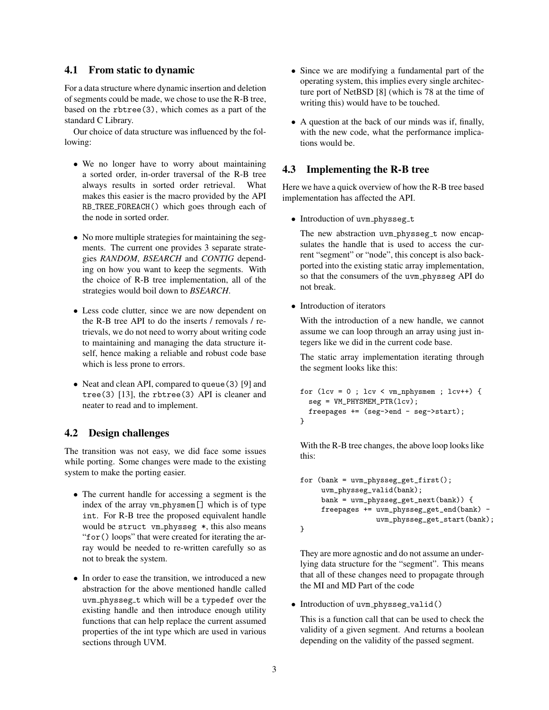# 4.1 From static to dynamic

For a data structure where dynamic insertion and deletion of segments could be made, we chose to use the R-B tree, based on the rbtree(3), which comes as a part of the standard C Library.

Our choice of data structure was influenced by the following:

- We no longer have to worry about maintaining a sorted order, in-order traversal of the R-B tree always results in sorted order retrieval. What makes this easier is the macro provided by the API RB TREE FOREACH() which goes through each of the node in sorted order.
- No more multiple strategies for maintaining the segments. The current one provides 3 separate strategies *RANDOM*, *BSEARCH* and *CONTIG* depending on how you want to keep the segments. With the choice of R-B tree implementation, all of the strategies would boil down to *BSEARCH*.
- Less code clutter, since we are now dependent on the R-B tree API to do the inserts / removals / retrievals, we do not need to worry about writing code to maintaining and managing the data structure itself, hence making a reliable and robust code base which is less prone to errors.
- Neat and clean API, compared to queue (3) [9] and tree(3) [13], the rbtree(3) API is cleaner and neater to read and to implement.

# 4.2 Design challenges

The transition was not easy, we did face some issues while porting. Some changes were made to the existing system to make the porting easier.

- The current handle for accessing a segment is the index of the array vm\_physmem[] which is of type int. For R-B tree the proposed equivalent handle would be struct vm physseg \*, this also means "for() loops" that were created for iterating the array would be needed to re-written carefully so as not to break the system.
- In order to ease the transition, we introduced a new abstraction for the above mentioned handle called uvm\_physseg\_t which will be a typedef over the existing handle and then introduce enough utility functions that can help replace the current assumed properties of the int type which are used in various sections through UVM.
- Since we are modifying a fundamental part of the operating system, this implies every single architecture port of NetBSD [8] (which is 78 at the time of writing this) would have to be touched.
- A question at the back of our minds was if, finally, with the new code, what the performance implications would be.

# 4.3 Implementing the R-B tree

Here we have a quick overview of how the R-B tree based implementation has affected the API.

• Introduction of uvm\_physseg\_t

The new abstraction uvm\_physseg\_t now encapsulates the handle that is used to access the current "segment" or "node", this concept is also backported into the existing static array implementation, so that the consumers of the uvm physseg API do not break.

• Introduction of iterators

With the introduction of a new handle, we cannot assume we can loop through an array using just integers like we did in the current code base.

The static array implementation iterating through the segment looks like this:

```
for (\text{lev} = 0 : \text{lev} < \text{vm} \text{.} \text{nphysmem} : \text{lev++}) {
  seg = VM_PHYSMEM_PTR(1cv);freepages += (seg->end - seg->start);
}
```
With the R-B tree changes, the above loop looks like this:

```
for (bank = uvm\_physics.get\_first();
     uvm_physseg_valid(bank);
     bank = uvm_physseg_get_next(bank)) {
     freepages += uvm_physseg_get_end(bank) -
                  uvm_physseg_get_start(bank);
}
```
They are more agnostic and do not assume an underlying data structure for the "segment". This means that all of these changes need to propagate through the MI and MD Part of the code

• Introduction of uvm\_physseg\_valid()

This is a function call that can be used to check the validity of a given segment. And returns a boolean depending on the validity of the passed segment.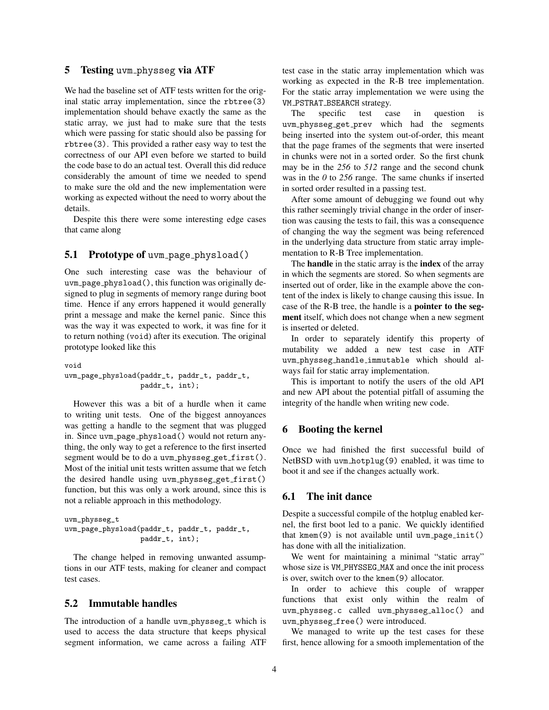### 5 Testing uvm physseg via ATF

We had the baseline set of ATF tests written for the original static array implementation, since the rbtree(3) implementation should behave exactly the same as the static array, we just had to make sure that the tests which were passing for static should also be passing for rbtree(3). This provided a rather easy way to test the correctness of our API even before we started to build the code base to do an actual test. Overall this did reduce considerably the amount of time we needed to spend to make sure the old and the new implementation were working as expected without the need to worry about the details.

Despite this there were some interesting edge cases that came along

#### 5.1 Prototype of uvm\_page\_physload()

One such interesting case was the behaviour of uvm page physload(), this function was originally designed to plug in segments of memory range during boot time. Hence if any errors happened it would generally print a message and make the kernel panic. Since this was the way it was expected to work, it was fine for it to return nothing (void) after its execution. The original prototype looked like this

void

```
uvm_page_physload(paddr_t, paddr_t, paddr_t,
                  paddr_t, int);
```
However this was a bit of a hurdle when it came to writing unit tests. One of the biggest annoyances was getting a handle to the segment that was plugged in. Since uvm page physload() would not return anything, the only way to get a reference to the first inserted segment would be to do a uvm\_physseg\_get\_first(). Most of the initial unit tests written assume that we fetch the desired handle using uvm physseg get first() function, but this was only a work around, since this is not a reliable approach in this methodology.

```
uvm_physseg_t
uvm_page_physload(paddr_t, paddr_t, paddr_t,
                  paddr_t, int);
```
The change helped in removing unwanted assumptions in our ATF tests, making for cleaner and compact test cases.

#### 5.2 Immutable handles

The introduction of a handle uvm\_physseg\_t which is used to access the data structure that keeps physical segment information, we came across a failing ATF test case in the static array implementation which was working as expected in the R-B tree implementation. For the static array implementation we were using the VM PSTRAT BSEARCH strategy.

The specific test case in question is uvm physseg get prev which had the segments being inserted into the system out-of-order, this meant that the page frames of the segments that were inserted in chunks were not in a sorted order. So the first chunk may be in the *256* to *512* range and the second chunk was in the *0* to *256* range. The same chunks if inserted in sorted order resulted in a passing test.

After some amount of debugging we found out why this rather seemingly trivial change in the order of insertion was causing the tests to fail, this was a consequence of changing the way the segment was being referenced in the underlying data structure from static array implementation to R-B Tree implementation.

The **handle** in the static array is the **index** of the array in which the segments are stored. So when segments are inserted out of order, like in the example above the content of the index is likely to change causing this issue. In case of the R-B tree, the handle is a pointer to the segment itself, which does not change when a new segment is inserted or deleted.

In order to separately identify this property of mutability we added a new test case in ATF uvm physseg handle immutable which should always fail for static array implementation.

This is important to notify the users of the old API and new API about the potential pitfall of assuming the integrity of the handle when writing new code.

#### 6 Booting the kernel

Once we had finished the first successful build of NetBSD with uvm hotplug(9) enabled, it was time to boot it and see if the changes actually work.

### 6.1 The init dance

Despite a successful compile of the hotplug enabled kernel, the first boot led to a panic. We quickly identified that  $k$ mem $(9)$  is not available until uvm page init() has done with all the initialization.

We went for maintaining a minimal "static array" whose size is VM\_PHYSSEG\_MAX and once the init process is over, switch over to the kmem(9) allocator.

In order to achieve this couple of wrapper functions that exist only within the realm of uvm physseg.c called uvm physseg alloc() and uvm physseg free() were introduced.

We managed to write up the test cases for these first, hence allowing for a smooth implementation of the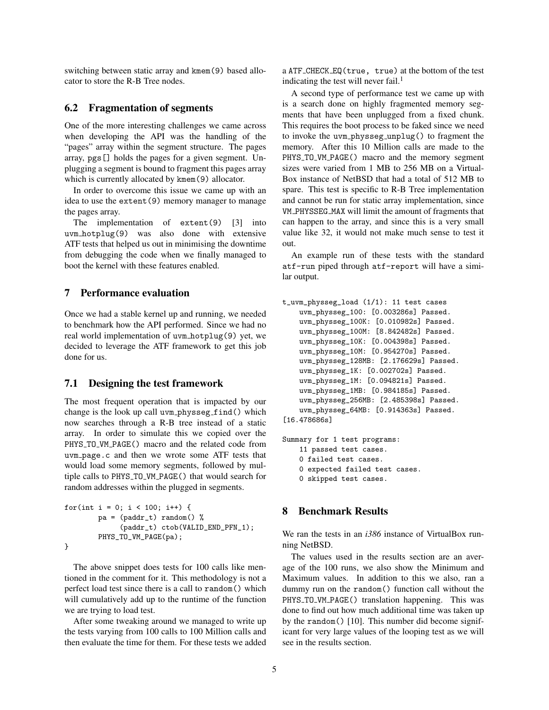switching between static array and kmem(9) based allocator to store the R-B Tree nodes.

### 6.2 Fragmentation of segments

One of the more interesting challenges we came across when developing the API was the handling of the "pages" array within the segment structure. The pages array, pgs[] holds the pages for a given segment. Unplugging a segment is bound to fragment this pages array which is currently allocated by kmem(9) allocator.

In order to overcome this issue we came up with an idea to use the extent(9) memory manager to manage the pages array.

The implementation of extent(9) [3] into uvm hotplug(9) was also done with extensive ATF tests that helped us out in minimising the downtime from debugging the code when we finally managed to boot the kernel with these features enabled.

# 7 Performance evaluation

Once we had a stable kernel up and running, we needed to benchmark how the API performed. Since we had no real world implementation of uvm hotplug(9) yet, we decided to leverage the ATF framework to get this job done for us.

# 7.1 Designing the test framework

The most frequent operation that is impacted by our change is the look up call uvm\_physseg\_find() which now searches through a R-B tree instead of a static array. In order to simulate this we copied over the PHYS\_TO\_VM\_PAGE() macro and the related code from uvm page.c and then we wrote some ATF tests that would load some memory segments, followed by multiple calls to PHYS TO VM PAGE() that would search for random addresses within the plugged in segments.

```
for(int i = 0; i < 100; i++) {
       pa = (paddr_t) random() %(paddr_t) ctob(VALID_END_PFN_1);
        PHYS_TO_VM_PAGE(pa);
}
```
The above snippet does tests for 100 calls like mentioned in the comment for it. This methodology is not a perfect load test since there is a call to random() which will cumulatively add up to the runtime of the function we are trying to load test.

After some tweaking around we managed to write up the tests varying from 100 calls to 100 Million calls and then evaluate the time for them. For these tests we added a ATF CHECK EQ(true, true) at the bottom of the test indicating the test will never fail.<sup>1</sup>

A second type of performance test we came up with is a search done on highly fragmented memory segments that have been unplugged from a fixed chunk. This requires the boot process to be faked since we need to invoke the uvm physseg unplug() to fragment the memory. After this 10 Million calls are made to the PHYS\_TO\_VM\_PAGE() macro and the memory segment sizes were varied from 1 MB to 256 MB on a Virtual-Box instance of NetBSD that had a total of 512 MB to spare. This test is specific to R-B Tree implementation and cannot be run for static array implementation, since VM PHYSSEG MAX will limit the amount of fragments that can happen to the array, and since this is a very small value like 32, it would not make much sense to test it out.

An example run of these tests with the standard atf-run piped through atf-report will have a similar output.

```
t_uvm_physseg_load (1/1): 11 test cases
    uvm_physseg_100: [0.003286s] Passed.
    uvm_physseg_100K: [0.010982s] Passed.
    uvm_physseg_100M: [8.842482s] Passed.
    uvm_physseg_10K: [0.004398s] Passed.
    uvm_physseg_10M: [0.954270s] Passed.
    uvm_physseg_128MB: [2.176629s] Passed.
    uvm_physseg_1K: [0.002702s] Passed.
    uvm_physseg_1M: [0.094821s] Passed.
    uvm_physseg_1MB: [0.984185s] Passed.
    uvm_physseg_256MB: [2.485398s] Passed.
    uvm_physseg_64MB: [0.914363s] Passed.
[16.478686s]
```
Summary for 1 test programs: 11 passed test cases. 0 failed test cases. 0 expected failed test cases. 0 skipped test cases.

#### 8 Benchmark Results

We ran the tests in an *i386* instance of VirtualBox running NetBSD.

The values used in the results section are an average of the 100 runs, we also show the Minimum and Maximum values. In addition to this we also, ran a dummy run on the random() function call without the PHYS\_TO\_VM\_PAGE() translation happening. This was done to find out how much additional time was taken up by the random() [10]. This number did become significant for very large values of the looping test as we will see in the results section.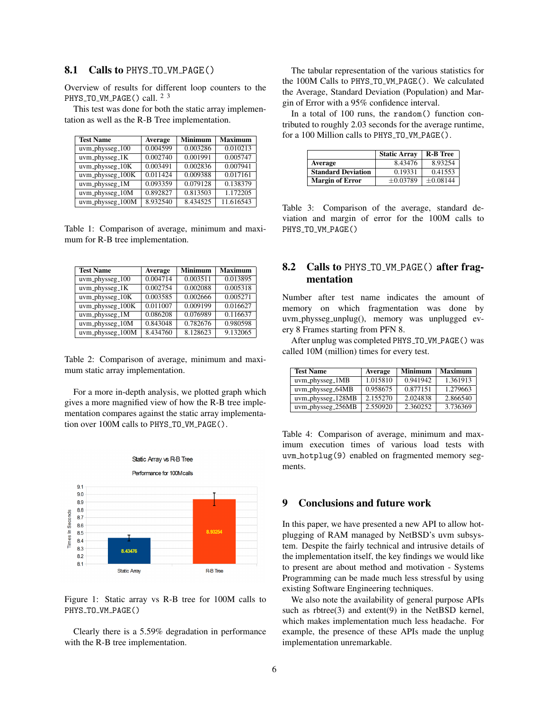# 8.1 Calls to PHYS\_TO\_VM\_PAGE()

Overview of results for different loop counters to the PHYS\_TO\_VM\_PAGE() call. <sup>2 3</sup>

This test was done for both the static array implementation as well as the R-B Tree implementation.

| <b>Test Name</b>  | Average  | <b>Minimum</b> | <b>Maximum</b> |
|-------------------|----------|----------------|----------------|
| uvm_physseg_100   | 0.004599 | 0.003286       | 0.010213       |
| $uvm\_physseg_1K$ | 0.002740 | 0.001991       | 0.005747       |
| uvm_physseg_10K   | 0.003491 | 0.002836       | 0.007941       |
| uvm_physseg_100K  | 0.011424 | 0.009388       | 0.017161       |
| uvm_physseg_1M    | 0.093359 | 0.079128       | 0.138379       |
| uvm_physseg_10M   | 0.892827 | 0.813503       | 1.172205       |
| uvm_physseg_100M  | 8.932540 | 8.434525       | 11.616543      |

Table 1: Comparison of average, minimum and maximum for R-B tree implementation.

| <b>Test Name</b>   | Average  | <b>Minimum</b> | <b>Maximum</b> |
|--------------------|----------|----------------|----------------|
| $uvm\_physseg_100$ | 0.004714 | 0.003511       | 0.013895       |
| uvm_physseg_1K     | 0.002754 | 0.002088       | 0.005318       |
| $uvm\_physics_10K$ | 0.003585 | 0.002666       | 0.005271       |
| uvm_physseg_100K   | 0.011007 | 0.009199       | 0.016627       |
| uvm_physseg_1M     | 0.086208 | 0.076989       | 0.116637       |
| uvm_physseg_10M    | 0.843048 | 0.782676       | 0.980598       |
| uvm_physseg_100M   | 8.434760 | 8.128623       | 9.132065       |

Table 2: Comparison of average, minimum and maximum static array implementation.

For a more in-depth analysis, we plotted graph which gives a more magnified view of how the R-B tree implementation compares against the static array implementation over 100M calls to PHYS\_TO\_VM\_PAGE().



Figure 1: Static array vs R-B tree for 100M calls to PHYS\_TO\_VM\_PAGE()

Clearly there is a 5.59% degradation in performance with the R-B tree implementation.

The tabular representation of the various statistics for the 100M Calls to PHYS TO VM PAGE(). We calculated the Average, Standard Deviation (Population) and Margin of Error with a 95% confidence interval.

In a total of 100 runs, the random() function contributed to roughly 2.03 seconds for the average runtime, for a 100 Million calls to PHYS\_TO\_VM\_PAGE().

|                           | <b>Static Array</b> | <b>R-B</b> Tree |
|---------------------------|---------------------|-----------------|
| Average                   | 8.43476             | 8.93254         |
| <b>Standard Deviation</b> | 0.19331             | 0.41553         |
| <b>Margin of Error</b>    | $+0.03789$          | $\pm 0.08144$   |

Table 3: Comparison of the average, standard deviation and margin of error for the 100M calls to PHYS\_TO\_VM\_PAGE()

# 8.2 Calls to PHYS\_TO\_VM\_PAGE() after fragmentation

Number after test name indicates the amount of memory on which fragmentation was done by uvm physseg unplug(), memory was unplugged every 8 Frames starting from PFN 8.

After unplug was completed PHYS TO VM PAGE() was called 10M (million) times for every test.

| <b>Test Name</b>        | Average  | <b>Minimum</b> | <b>Maximum</b> |
|-------------------------|----------|----------------|----------------|
| $uvm\_physseg\_1MB$     | 1.015810 | 0.941942       | 1.361913       |
| uvm_physseg_64MB        | 0.958675 | 0.877151       | 1.279663       |
| $uvm\_{physseg}\_128MB$ | 2.155270 | 2.024838       | 2.866540       |
| uvm_physseg_256MB       | 2.550920 | 2.360252       | 3.736369       |

Table 4: Comparison of average, minimum and maximum execution times of various load tests with uvm hotplug(9) enabled on fragmented memory segments.

#### 9 Conclusions and future work

In this paper, we have presented a new API to allow hotplugging of RAM managed by NetBSD's uvm subsystem. Despite the fairly technical and intrusive details of the implementation itself, the key findings we would like to present are about method and motivation - Systems Programming can be made much less stressful by using existing Software Engineering techniques.

We also note the availability of general purpose APIs such as  $rbtree(3)$  and  $extent(9)$  in the NetBSD kernel, which makes implementation much less headache. For example, the presence of these APIs made the unplug implementation unremarkable.